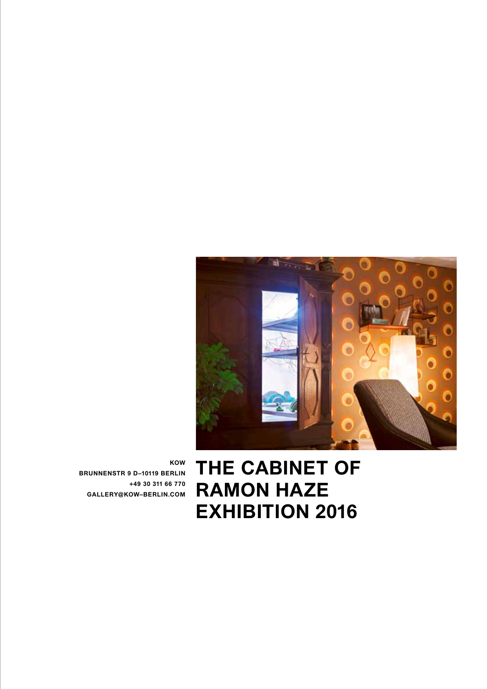

**KOW BRUNNENSTR 9 D–10119 BERLIN +49 30 311 66 770 GALLERY@KOW–BERLIN.COM** 

**THE CABINET OF RAMON HAZE EXHIBITION 2016**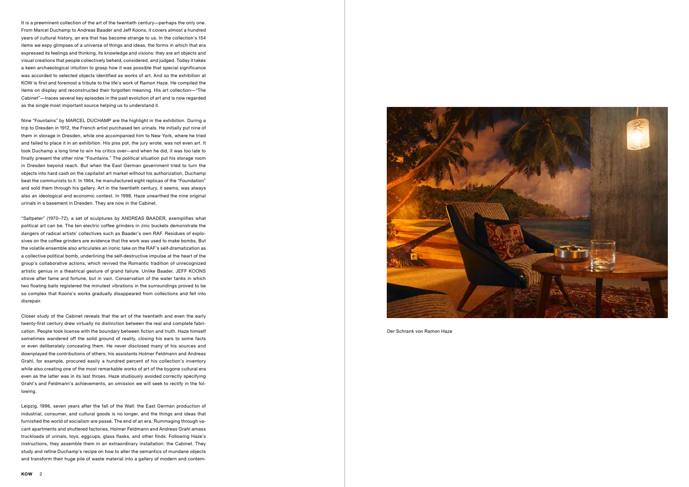Der Schrank von Ramon Haze

It is a preeminent collection of the art of the twentieth century—perhaps the only one. From Marcel Duchamp to Andreas Baader and Jeff Koons, it covers almost a hundred years of cultural history, an era that has become strange to us. In the collection's 154 items we espy glimpses of a universe of things and ideas, the forms in which that era expressed its feelings and thinking, its knowledge and visions: they are art objects and visual creations that people collectively beheld, considered, and judged. Today it takes a keen archaeological intuition to grasp how it was possible that special significance was accorded to selected objects identified as works of art. And so the exhibition at KOW is first and foremost a tribute to the life's work of Ramon Haze. He compiled the items on display and reconstructed their forgotten meaning. His art collection—"The Cabinet"—traces several key episodes in the past evolution of art and is now regarded as the single most important source helping us to understand it.

Nine "Fountains" by MARCEL DUCHAMP are the highlight in the exhibition. During a trip to Dresden in 1912, the French artist purchased ten urinals. He initially put nine of them in storage in Dresden, while one accompanied him to New York, where he tried and failed to place it in an exhibition. His piss pot, the jury wrote, was not even art. It took Duchamp a long time to win his critics over—and when he did, it was too late to finally present the other nine "Fountains." The political situation put his storage room in Dresden beyond reach. But when the East German government tried to turn the objects into hard cash on the capitalist art market without his authorization, Duchamp beat the communists to it. In 1964, he manufactured eight replicas of the "Foundation" and sold them through his gallery. Art in the twentieth century, it seems, was always also an ideological and economic contest. In 1998, Haze unearthed the nine original urinals in a basement in Dresden. They are now in the Cabinet.

"Saltpeter" (1970–72), a set of sculptures by ANDREAS BAADER, exemplifies what political art can be. The ten electric coffee grinders in zinc buckets demonstrate the dangers of radical artists' collectives such as Baader's own RAF. Residues of explosives on the coffee grinders are evidence that the work was used to make bombs. But the volatile ensemble also articulates an ironic take on the RAF's self-dramatization as a collective political bomb, underlining the self-destructive impulse at the heart of the group's collaborative actions, which revived the Romantic tradition of unrecognized artistic genius in a theatrical gesture of grand failure. Unlike Baader, JEFF KOONS strove after fame and fortune, but in vain. Conservation of the water tanks in which two floating balls registered the minutest vibrations in the surroundings proved to be so complex that Koons's works gradually disappeared from collections and fell into disrepair.

Closer study of the Cabinet reveals that the art of the twentieth and even the early twenty-first century drew virtually no distinction between the real and complete fabrication. People took license with the boundary between fiction and truth. Haze himself sometimes wandered off the solid ground of reality, closing his ears to some facts or even deliberately concealing them. He never disclosed many of his sources and downplayed the contributions of others; his assistants Holmer Feldmann and Andreas Grahl, for example, procured easily a hundred percent of his collection's inventory while also creating one of the most remarkable works of art of the bygone cultural era even as the latter was in its last throes. Haze studiously avoided correctly specifying Grahl's and Feldmann's achievements, an omission we will seek to rectify in the following.

Leipzig, 1996, seven years after the fall of the Wall: the East German production of industrial, consumer, and cultural goods is no longer, and the things and ideas that furnished the world of socialism are passé. The end of an era. Rummaging through vacant apartments and shuttered factories, Holmer Feldmann and Andreas Grahl amass truckloads of urinals, toys, eggcups, glass flasks, and other finds. Following Haze's instructions, they assemble them in an extraordinary installation: the Cabinet. They study and refine Duchamp's recipe on how to alter the semantics of mundane objects and transform their huge pile of waste material into a gallery of modern and contem-

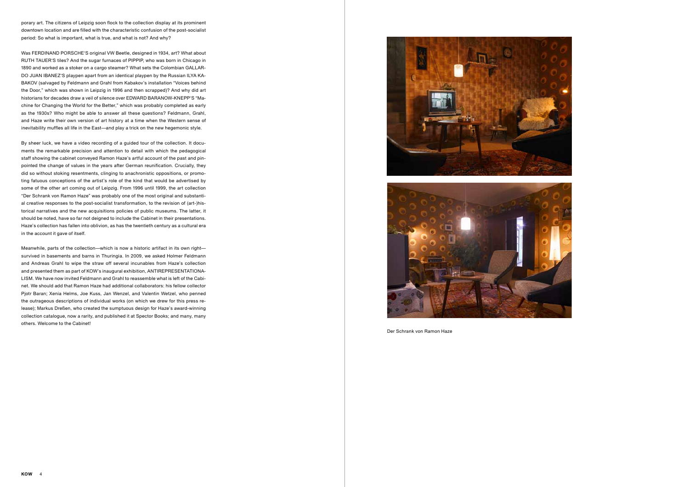porary art. The citizens of Leipzig soon flock to the collection display at its prominent downtown location and are filled with the characteristic confusion of the post-socialist period: So what is important, what is true, and what is not? And why?

Was FERDINAND PORSCHE'S original VW Beetle, designed in 1934, art? What about RUTH TAUER'S tiles? And the sugar furnaces of PIPPIP, who was born in Chicago in 1890 and worked as a stoker on a cargo steamer? What sets the Colombian GALLAR-DO JUAN IBANEZ'S playpen apart from an identical playpen by the Russian ILYA KA-BAKOV (salvaged by Feldmann and Grahl from Kabakov's installation "Voices behind the Door," which was shown in Leipzig in 1996 and then scrapped)? And why did art historians for decades draw a veil of silence over EDWARD BARANOW-KNEPP'S "Machine for Changing the World for the Better," which was probably completed as early as the 1930s? Who might be able to answer all these questions? Feldmann, Grahl, and Haze write their own version of art history at a time when the Western sense of inevitability muffles all life in the East—and play a trick on the new hegemonic style.

By sheer luck, we have a video recording of a guided tour of the collection. It documents the remarkable precision and attention to detail with which the pedagogical staff showing the cabinet conveyed Ramon Haze's artful account of the past and pinpointed the change of values in the years after German reunification. Crucially, they did so without stoking resentments, clinging to anachronistic oppositions, or promoting fatuous conceptions of the artist's role of the kind that would be advertised by some of the other art coming out of Leipzig. From 1996 until 1999, the art collection "Der Schrank von Ramon Haze" was probably one of the most original and substantial creative responses to the post-socialist transformation, to the revision of (art-)historical narratives and the new acquisitions policies of public museums. The latter, it should be noted, have so far not deigned to include the Cabinet in their presentations. Haze's collection has fallen into oblivion, as has the twentieth century as a cultural era in the account it gave of itself.

Meanwhile, parts of the collection—which is now a historic artifact in its own right survived in basements and barns in Thuringia. In 2009, we asked Holmer Feldmann and Andreas Grahl to wipe the straw off several incunables from Haze's collection and presented them as part of KOW's inaugural exhibition, ANTIREPRESENTATIONA-LISM. We have now invited Feldmann and Grahl to reassemble what is left of the Cabinet. We should add that Ramon Haze had additional collaborators: his fellow collector Pjotr Baran; Xenia Helms, Joe Kuss, Jan Wenzel, and Valentin Wetzel, who penned the outrageous descriptions of individual works (on which we drew for this press release); Markus Dreßen, who created the sumptuous design for Haze's award-winning collection catalogue, now a rarity, and published it at Spector Books; and many, many others. Welcome to the Cabinet!





Der Schrank von Ramon Haze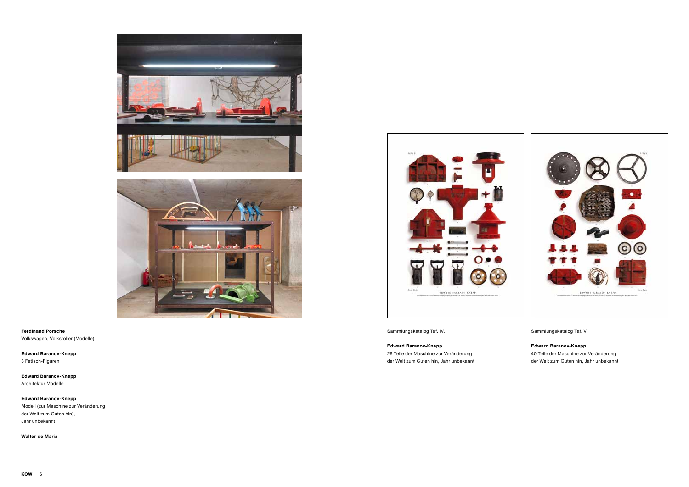

Sammlungskatalog Taf. IV.

**Edward Baranov-Knepp** 

26 Teile der Maschine zur Veränderung der Welt zum Guten hin, Jahr unbekannt Sammlungskatalog Taf. V.

**Edward Baranov-Knepp**  40 Teile der Maschine zur Veränderung der Welt zum Guten hin, Jahr unbekannt





**Ferdinand Porsche** Volkswagen, Volksroller (Modelle)

**Edward Baranov-Knepp**  3 Fetisch-Figuren

**Edward Baranov-Knepp**  Architektur Modelle

**Edward Baranov-Knepp**  Modell (zur Maschine zur Veränderung der Welt zum Guten hin), Jahr unbekannt

**Walter de Maria**

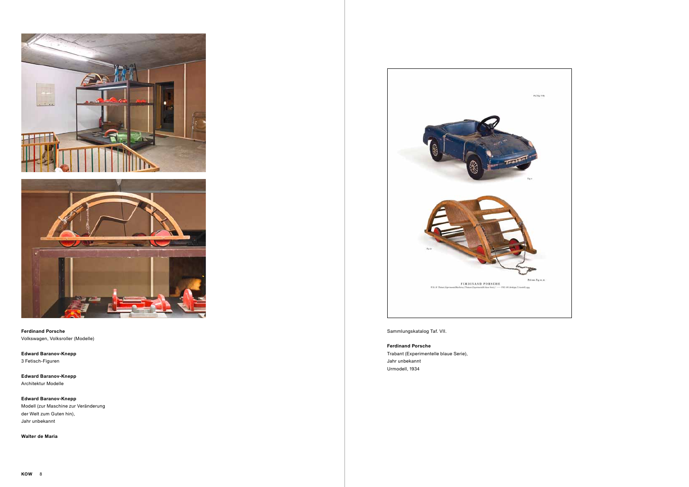



**Ferdinand Porsche** Volkswagen, Volksroller (Modelle)

**Edward Baranov-Knepp**  3 Fetisch-Figuren

**Edward Baranov-Knepp**  Architektur Modelle

**Edward Baranov-Knepp**  Modell (zur Maschine zur Veränderung der Welt zum Guten hin), Jahr unbekannt

**Walter de Maria**



Sammlungskatalog Taf. VII.

**Ferdinand Porsche**

Trabant (Experimentelle blaue Serie), Jahr unbekannt Urmodell, 1934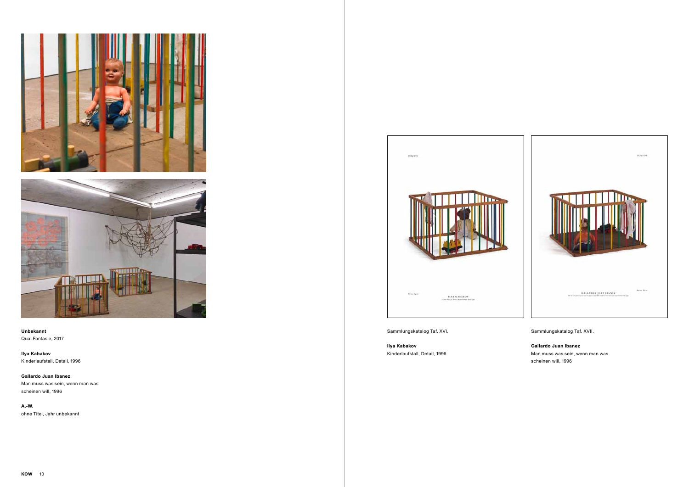





## **Unbekannt**

Qual Fantasie, 2017

**Ilya Kabakov** Kinderlaufstall, Detail, 1996

**Gallardo Juan Ibanez** Man muss was sein, wenn man was scheinen will, 1996

**A.-W.** ohne Titel, Jahr unbekannt



Sammlungskatalog Taf. XVI.

 $_{\rm 9,16'81}$ 

**Ilya Kabakov**  Kinderlaufstall, Detail, 1996 Sammlungskatalog Taf. XVII.

**Gallardo Juan Ibanez** Man muss was sein, wenn man was scheinen will, 1996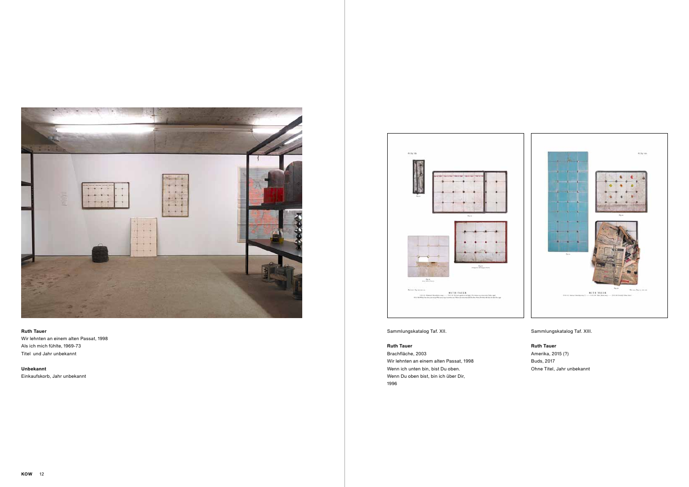



#### **Ruth Tauer**

Wir lehnten an einem alten Passat, 1998 Als ich mich fühlte, 1969-73 Titel und Jahr unbekannt

**Unbekannt** Einkaufskorb, Jahr unbekannt



Sammlungskatalog Taf. XII.

# **Ruth Tauer**

Brachfläche, 2003 Wir lehnten an einem alten Passat, 1998 Wenn ich unten bin, bist Du oben. Wenn Du oben bist, bin ich über Dir, 1996

Sammlungskatalog Taf. XIII.

**Ruth Tauer**

Amerika, 2015 (?) Buds, 2017 Ohne Titel, Jahr unbekannt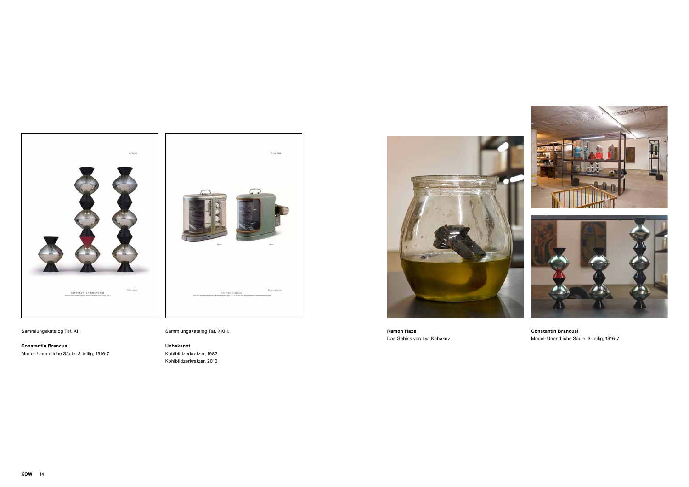

**Ramon Haze** Das Gebiss von Ilya Kabakov



# Sammlungskatalog Taf. XII.

**Constantin Brancusi** Modell Unendliche Säule, 3-teilig, 1916-7



Sammlungskatalog Taf. XXIII.

### **Unbekannt**

Kohlbildzerkratzer, 1982 Kohlbildzerkratzer, 2010



**Constantin Brancusi** Modell Unendliche Säule, 3-teilig, 1916-7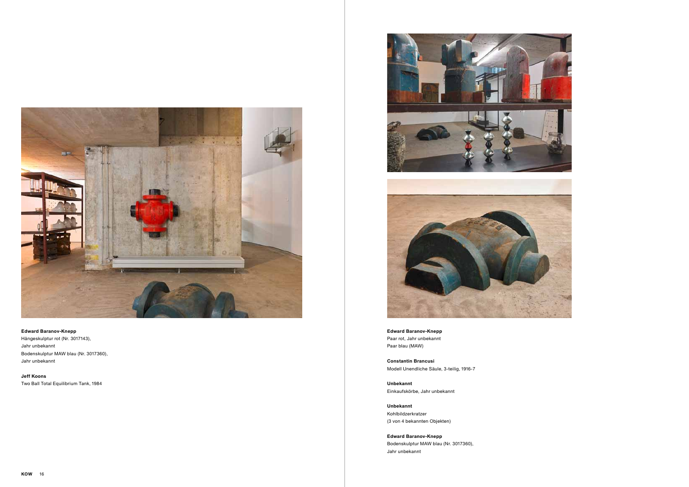

### **Edward Baranov-Knepp**

Hängeskulptur rot (Nr. 3017143), Jahr unbekannt Bodenskulptur MAW blau (Nr. 3017360), Jahr unbekannt

**Jeff Koons** Two Ball Total Equilibrium Tank, 1984





**Edward Baranov-Knepp**  Paar rot, Jahr unbekannt Paar blau (MAW)

**Constantin Brancusi** Modell Unendliche Säule, 3-teilig, 1916-7

**Unbekannt** Einkaufskörbe, Jahr unbekannt

**Unbekannt** Kohlbildzerkratzer (3 von 4 bekannten Objekten)

**Edward Baranov-Knepp**  Bodenskulptur MAW blau (Nr. 3017360), Jahr unbekannt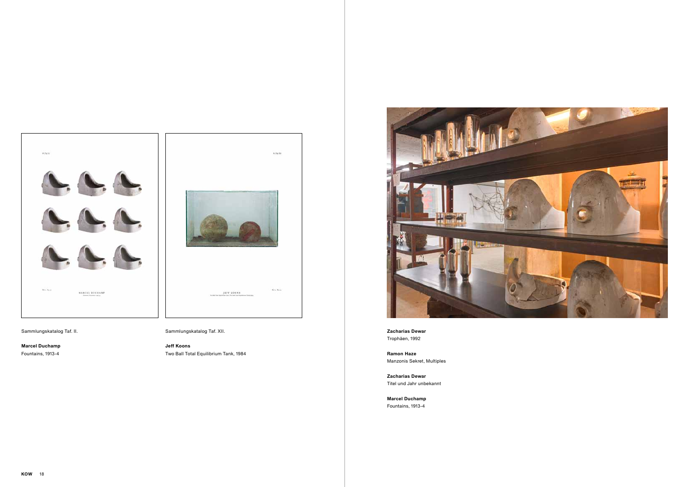

# Sammlungskatalog Taf. II.

**Marcel Duchamp** Fountains, 1913-4



Sammlungskatalog Taf. XII.

**Jeff Koons** Two Ball Total Equilibrium Tank, 1984



**Zacharias Dewar** Trophäen, 1992

**Ramon Haze** Manzonis Sekret, Multiples

**Zacharias Dewar** Titel und Jahr unbekannt

**Marcel Duchamp** Fountains, 1913-4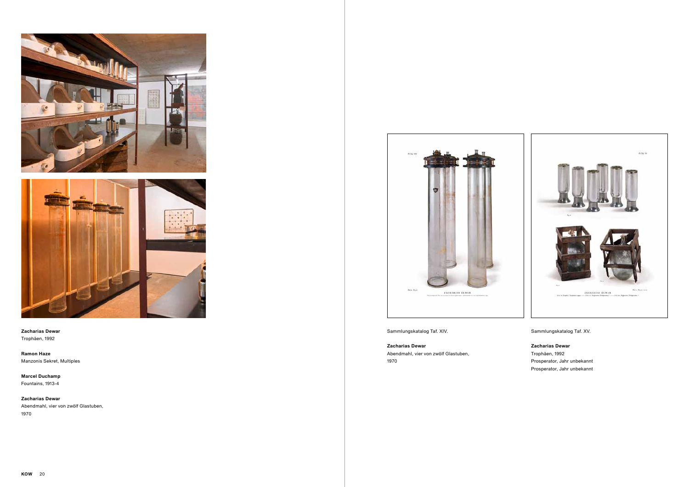

Sammlungskatalog Taf. XIV.

**Zacharias Dewar**

Abendmahl, vier von zwölf Glastuben, 1970

Sammlungskatalog Taf. XV.

**Zacharias Dewar** Trophäen, 1992 Prosperator, Jahr unbekannt Prosperator, Jahr unbekannt





### **Zacharias Dewar** Trophäen, 1992

**Ramon Haze** Manzonis Sekret, Multiples

**Marcel Duchamp** Fountains, 1913-4

**Zacharias Dewar** Abendmahl, vier von zwölf Glastuben, 1970

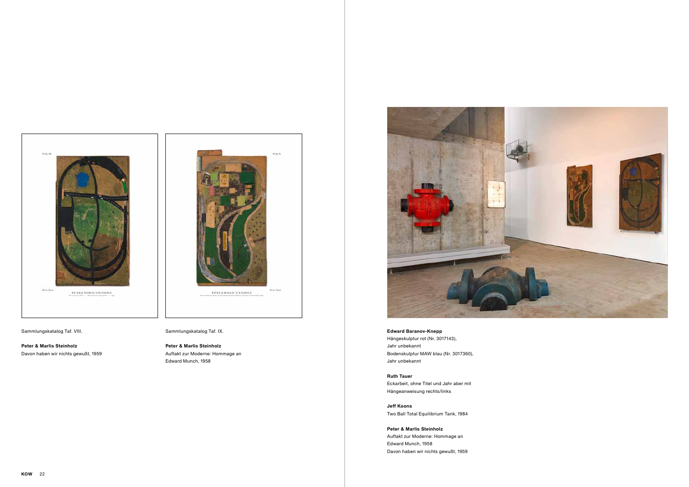**Edward Baranov-Knepp**  Hängeskulptur rot (Nr. 3017143), Jahr unbekannt Bodenskulptur MAW blau (Nr. 3017360), Jahr unbekannt

**Ruth Tauer** Eckarbeit, ohne Titel und Jahr aber mit Hängeanweisung rechts/links

**Jeff Koons** Two Ball Total Equilibrium Tank, 1984

**Peter & Marlis Steinholz** Auftakt zur Moderne: Hommage an Edward Munch, 1958 Davon haben wir nichts gewußt, 1959



### Sammlungskatalog Taf. VIII.

**Peter & Marlis Steinholz** Davon haben wir nichts gewußt, 1959

e de m **Britan Rates** PETER & MARLIN STEINHOLZ

Sammlungskatalog Taf. IX.

**Peter & Marlis Steinholz** Auftakt zur Moderne: Hommage an Edward Munch, 1958

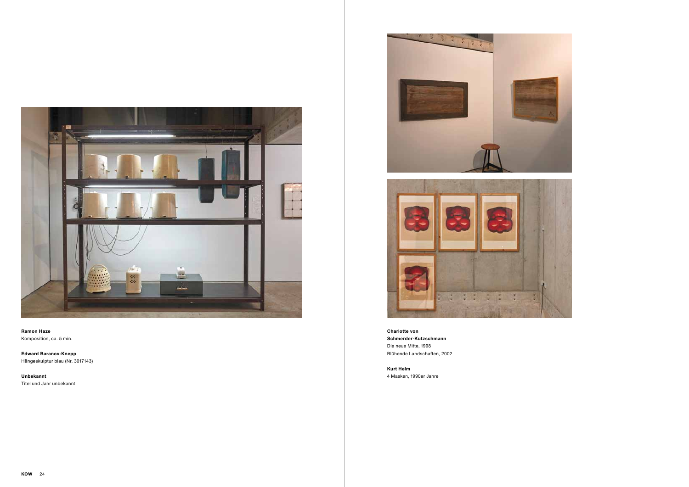

**Ramon Haze** Komposition, ca. 5 min.

**Edward Baranov-Knepp**  Hängeskulptur blau (Nr. 3017143)

**Unbekannt** Titel und Jahr unbekannt





**Charlotte von Schmerder-Kutzschmann** Die neue Mitte, 1998 Blühende Landschaften, 2002

**Kurt Helm** 4 Masken, 1990er Jahre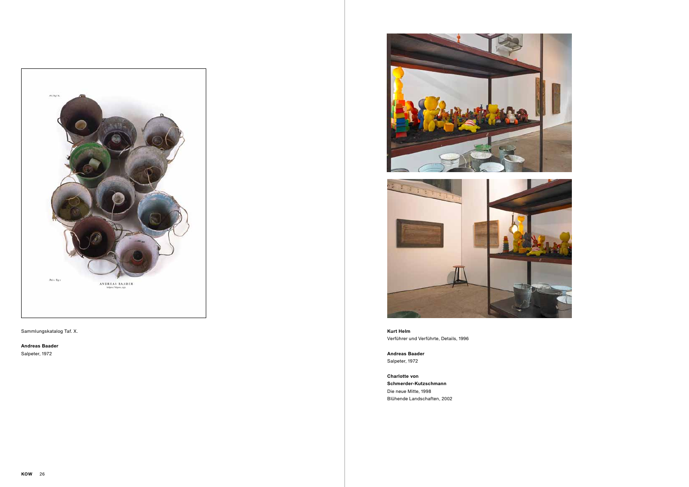

Sammlungskatalog Taf. X.

**Andreas Baader**

Salpeter, 1972





**Kurt Helm** Verführer und Verführte, Details, 1996

**Andreas Baader** Salpeter, 1972

**Charlotte von Schmerder-Kutzschmann** Die neue Mitte, 1998 Blühende Landschaften, 2002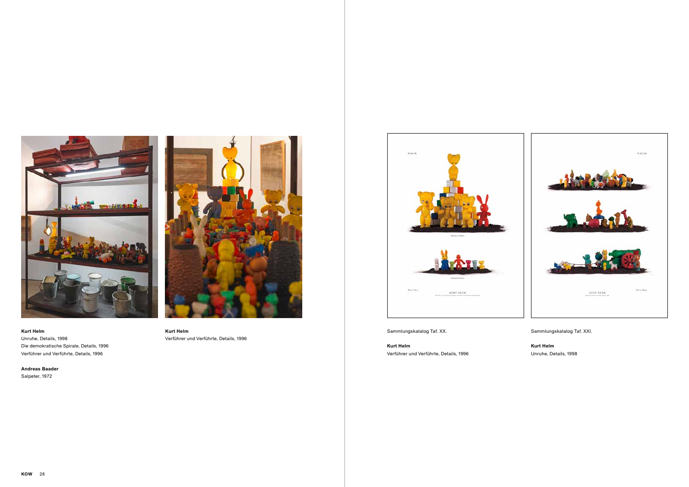

Sammlungskatalog Taf. XX.

**Kurt Helm** Verführer und Verführte, Details, 1996 Sammlungskatalog Taf. XXI.

# **Kurt Helm**

Unruhe, Details, 1998



#### **Kurt Helm**

Unruhe, Details, 1998 Die demokratische Spirale, Details, 1996 Verführer und Verführte, Details, 1996

**Andreas Baader** Salpeter, 1972



# **Kurt Helm**

Verführer und Verführte, Details, 1996

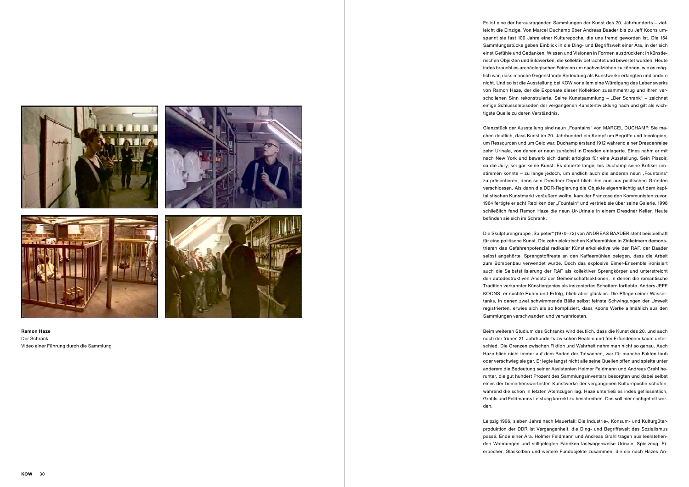Es ist eine der herausragenden Sammlungen der Kunst des 20. Jahrhunderts – viel leicht die Einzige. Von Marcel Duchamp über Andreas Baader bis zu Jeff Koons um spannt sie fast 100 Jahre einer Kulturepoche, die uns fremd geworden ist. Die 154 Sammlungsstücke geben Einblick in die Ding- und Begriffswelt einer Ära, in der sich einst Gefühle und Gedanken, Wissen und Visionen in Formen ausdrückten: in künstle rischen Objekten und Bildwerken, die kollektiv betrachtet und bewertet wurden. Heute indes braucht es archäologischen Feinsinn um nachvollziehen zu können, wie es mög lich war, dass manche Gegenstände Bedeutung als Kunstwerke erlangten und andere nicht. Und so ist die Ausstellung bei KOW vor allem eine Würdigung des Lebenswerks von Ramon Haze, der die Exponate dieser Kollektion zusammentrug und ihren ver schollenen Sinn rekonstruierte. Seine Kunstsammlung – "Der Schrank" – zeichnet einige Schlüsselepisoden der vergangenen Kunstentwicklung nach und gilt als wich tigste Quelle zu deren Verständnis.

Glanzstück der Ausstellung sind neun "Fountains" von MARCEL DUCHAMP. Sie machen deutlich, dass Kunst im 20. Jahrhundert ein Kampf um Begriffe und Ideologien, um Ressourcen und um Geld war. Duchamp erstand 1912 während einer Dresdenreise zehn Urinale, von denen er neun zunächst in Dresden einlagerte. Eines nahm er mit nach New York und bewarb sich damit erfolglos für eine Ausstellung. Sein Pissoir, so die Jury, sei gar keine Kunst. Es dauerte lange, bis Duchamp seine Kritiker um stimmen konnte – zu lange jedoch, um endlich auch die anderen neun "Fountains" zu präsentieren, denn sein Dresdner Depot blieb ihm nun aus politischen Gründen verschlossen. Als dann die DDR-Regierung die Objekte eigenmächtig auf dem kapi talistischen Kunstmarkt veräußern wollte, kam der Franzose den Kommunisten zuvor. 1964 fertigte er acht Repliken der "Fountain" und vertrieb sie über seine Galerie. 1998 schließlich fand Ramon Haze die neun Ur-Urinale in einem Dresdner Keller. Heute befinden sie sich im Schrank.

Die Skulpturengruppe "Salpeter" (1970–72) von ANDREAS BAADER steht beispielhaft für eine politische Kunst. Die zehn elektrischen Kaffeemühlen in Zinkeimern demons trieren das Gefahrenpotenzial radikaler Künstlerkollektive wie der RAF, der Baader selbst angehörte. Sprengstoffreste an den Kaffeemühlen belegen, dass die Arbeit zum Bombenbau verwendet wurde. Doch das explosive Eimer-Ensemble ironisiert auch die Selbststilisierung der RAF als kollektiver Sprengkörper und unterstreicht den autodestruktiven Ansatz der Gemeinschaftsaktionen, in denen die romantische Tradition verkannter Künstlergenies als inszeniertes Scheitern fortlebte. Anders JEFF KOONS: er suchte Ruhm und Erfolg, blieb aber glücklos. Die Pflege seiner Wasser tanks, in denen zwei schwimmende Bälle selbst feinste Schwingungen der Umwelt registrierten, erwies sich als so kompliziert, dass Koons Werke allmählich aus den Sammlungen verschwanden und verwahrlosten.

Beim weiteren Studium des Schranks wird deutlich, dass die Kunst des 20. und auch noch der frühen 21. Jahrhunderts zwischen Realem und frei Erfundenem kaum unter schied. Die Grenzen zwischen Fiktion und Wahrheit nahm man nicht so genau. Auch Haze blieb nicht immer auf dem Boden der Tatsachen, war für manche Fakten taub oder verschwieg sie gar. Er legte längst nicht alle seine Quellen offen und spielte unter anderem die Bedeutung seiner Assistenten Holmer Feldmann und Andreas Grahl he runter, die gut hundert Prozent des Sammlungsinventars besorgten und dabei selbst eines der bemerkenswertesten Kunstwerke der vergangenen Kulturepoche schufen, während die schon in letzten Atemzügen lag. Haze unterließ es indes geflissentlich, Grahls und Feldmanns Leistung korrekt zu beschreiben. Das soll hier nachgeholt wer den.

Leipzig 1996, sieben Jahre nach Mauerfall: Die Industrie-, Konsum- und Kulturgüter produktion der DDR ist Vergangenheit, die Ding- und Begriffswelt des Sozialismus passé. Ende einer Ära. Holmer Feldmann und Andreas Grahl tragen aus leerstehen den Wohnungen und stillgelegten Fabriken lastwagenweise Urinale, Spielzeug, Ei erbecher, Glaskolben und weitere Fundobjekte zusammen, die sie nach Hazes An -





**Ramon Haze** Der Schrank Video einer Führung durch die Sammlung